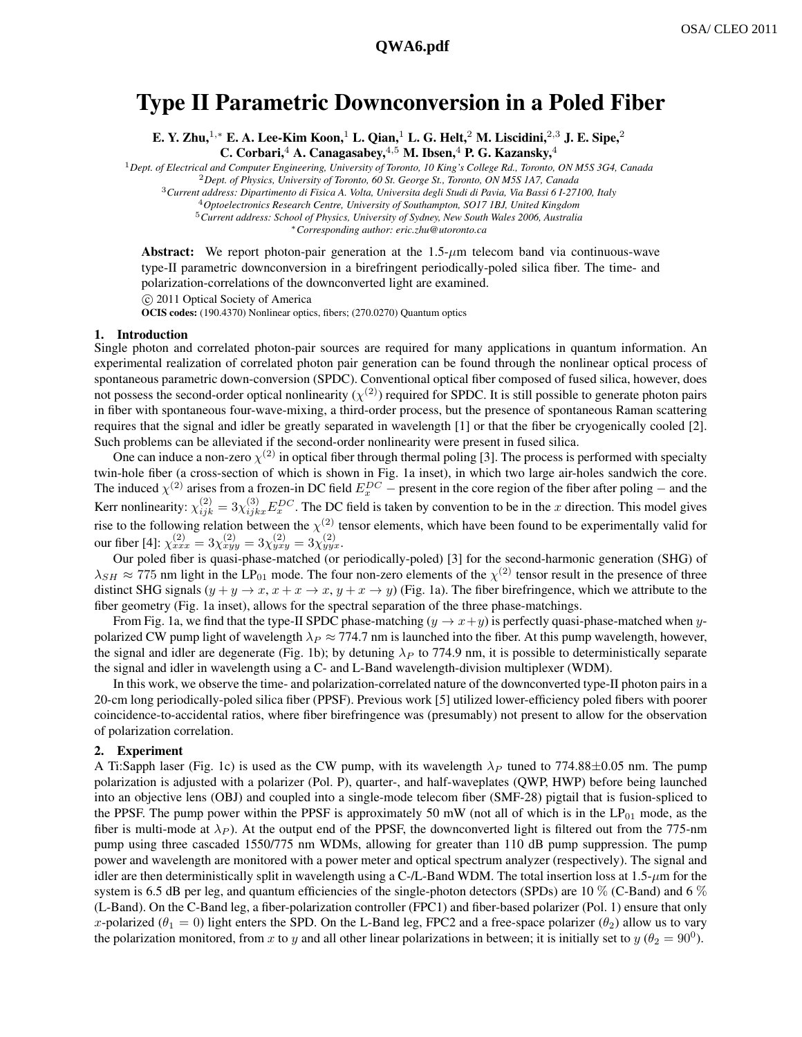# Type II Parametric Downconversion in a Poled Fiber

E. Y. Zhu,<sup>1,∗</sup> E. A. Lee-Kim Koon,<sup>1</sup> L. Qian,<sup>1</sup> L. G. Helt,<sup>2</sup> M. Liscidini,<sup>2,3</sup> J. E. Sipe,<sup>2</sup> C. Corbari,<sup>4</sup> A. Canagasabey,<sup>4,5</sup> M. Ibsen,<sup>4</sup> P. G. Kazansky,<sup>4</sup>

<sup>1</sup>*Dept. of Electrical and Computer Engineering, University of Toronto, 10 King's College Rd., Toronto, ON M5S 3G4, Canada*

<sup>2</sup>*Dept. of Physics, University of Toronto, 60 St. George St., Toronto, ON M5S 1A7, Canada*

<sup>3</sup>*Current address: Dipartimento di Fisica A. Volta, Universita degli Studi di Pavia, Via Bassi 6 I-27100, Italy*

<sup>5</sup>*Current address: School of Physics, University of Sydney, New South Wales 2006, Australia*

*∗Corresponding author: eric.zhu@utoronto.ca*

Abstract: We report photon-pair generation at the  $1.5-\mu m$  telecom band via continuous-wave type-II parametric downconversion in a birefringent periodically-poled silica fiber. The time- and polarization-correlations of the downconverted light are examined.

*⃝*c 2011 Optical Society of America

OCIS codes: (190.4370) Nonlinear optics, fibers; (270.0270) Quantum optics

## 1. Introduction

Single photon and correlated photon-pair sources are required for many applications in quantum information. An experimental realization of correlated photon pair generation can be found through the nonlinear optical process of spontaneous parametric down-conversion (SPDC). Conventional optical fiber composed of fused silica, however, does not possess the second-order optical nonlinearity  $(\chi^{(2)})$  required for SPDC. It is still possible to generate photon pairs in fiber with spontaneous four-wave-mixing, a third-order process, but the presence of spontaneous Raman scattering requires that the signal and idler be greatly separated in wavelength [1] or that the fiber be cryogenically cooled [2]. Such problems can be alleviated if the second-order nonlinearity were present in fused silica.

One can induce a non-zero  $\chi^{(2)}$  in optical fiber through thermal poling [3]. The process is performed with specialty twin-hole fiber (a cross-section of which is shown in Fig. 1a inset), in which two large air-holes sandwich the core. The induced  $\chi^{(2)}$  arises from a frozen-in DC field  $E_x^{DC}$  – present in the core region of the fiber after poling – and the Kerr nonlinearity:  $\chi_{ijk}^{(2)} = 3\chi_{ijkx}^{(3)}E_x^{DC}$ . The DC field is taken by convention to be in the *x* direction. This model gives rise to the following relation between the  $\chi^{(2)}$  tensor elements, which have been found to be experimentally valid for our fiber [4]:  $\chi_{xxx}^{(2)} = 3\chi_{xyy}^{(2)} = 3\chi_{yxy}^{(2)} = 3\chi_{yyx}^{(2)}$ .

Our poled fiber is quasi-phase-matched (or periodically-poled) [3] for the second-harmonic generation (SHG) of  $\lambda_{SH} \approx 775$  nm light in the LP<sub>01</sub> mode. The four non-zero elements of the *χ*<sup>(2)</sup> tensor result in the presence of three distinct SHG signals  $(y + y \rightarrow x, x + x \rightarrow x, y + x \rightarrow y)$  (Fig. 1a). The fiber birefringence, which we attribute to the fiber geometry (Fig. 1a inset), allows for the spectral separation of the three phase-matchings.

From Fig. 1a, we find that the type-II SPDC phase-matching  $(y \to x + y)$  is perfectly quasi-phase-matched when *y*polarized CW pump light of wavelength *λ<sup>P</sup> ≈* 774.7 nm is launched into the fiber. At this pump wavelength, however, the signal and idler are degenerate (Fig. 1b); by detuning  $\lambda_P$  to 774.9 nm, it is possible to deterministically separate the signal and idler in wavelength using a C- and L-Band wavelength-division multiplexer (WDM).

In this work, we observe the time- and polarization-correlated nature of the downconverted type-II photon pairs in a 20-cm long periodically-poled silica fiber (PPSF). Previous work [5] utilized lower-efficiency poled fibers with poorer coincidence-to-accidental ratios, where fiber birefringence was (presumably) not present to allow for the observation of polarization correlation.

# 2. Experiment

A Ti:Sapph laser (Fig. 1c) is used as the CW pump, with its wavelength *λ<sup>P</sup>* tuned to 774.88*±*0.05 nm. The pump polarization is adjusted with a polarizer (Pol. P), quarter-, and half-waveplates (QWP, HWP) before being launched into an objective lens (OBJ) and coupled into a single-mode telecom fiber (SMF-28) pigtail that is fusion-spliced to the PPSF. The pump power within the PPSF is approximately 50 mW (not all of which is in the  $LP_{01}$  mode, as the fiber is multi-mode at  $\lambda_P$ ). At the output end of the PPSF, the downconverted light is filtered out from the 775-nm pump using three cascaded 1550/775 nm WDMs, allowing for greater than 110 dB pump suppression. The pump power and wavelength are monitored with a power meter and optical spectrum analyzer (respectively). The signal and idler are then deterministically split in wavelength using a C-/L-Band WDM. The total insertion loss at 1.5-*µ*m for the system is 6.5 dB per leg, and quantum efficiencies of the single-photon detectors (SPDs) are 10  $\%$  (C-Band) and 6  $\%$ (L-Band). On the C-Band leg, a fiber-polarization controller (FPC1) and fiber-based polarizer (Pol. 1) ensure that only *x*-polarized ( $\theta_1 = 0$ ) light enters the SPD. On the L-Band leg, FPC2 and a free-space polarizer ( $\theta_2$ ) allow us to vary the polarization monitored, from *x* to *y* and all other linear polarizations in between; it is initially set to  $y(\theta_2 = 90^0)$ .

<sup>4</sup>*Optoelectronics Research Centre, University of Southampton, SO17 1BJ, United Kingdom*